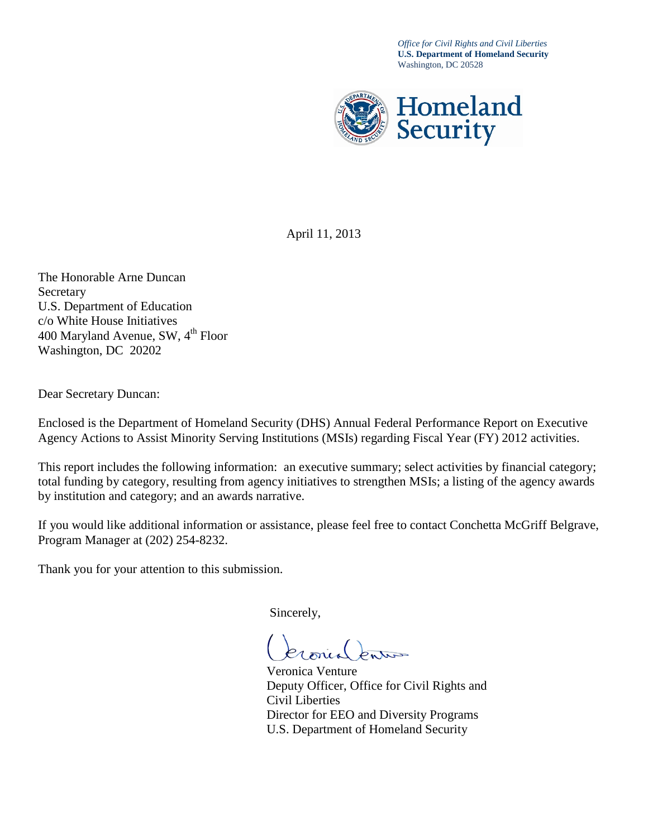*Office for Civil Rights and Civil Liberties* **U.S. Department of Homeland Security** Washington, DC 20528



April 11, 2013

The Honorable Arne Duncan Secretary U.S. Department of Education c/o White House Initiatives 400 Maryland Avenue, SW,  $4^{th}$  Floor Washington, DC 20202

Dear Secretary Duncan:

Enclosed is the Department of Homeland Security (DHS) Annual Federal Performance Report on Executive Agency Actions to Assist Minority Serving Institutions (MSIs) regarding Fiscal Year (FY) 2012 activities.

This report includes the following information: an executive summary; select activities by financial category; total funding by category, resulting from agency initiatives to strengthen MSIs; a listing of the agency awards by institution and category; and an awards narrative.

If you would like additional information or assistance, please feel free to contact Conchetta McGriff Belgrave, Program Manager at (202) 254-8232.

Thank you for your attention to this submission.

Sincerely,

Veronica Venture Deputy Officer, Office for Civil Rights and Civil Liberties Director for EEO and Diversity Programs U.S. Department of Homeland Security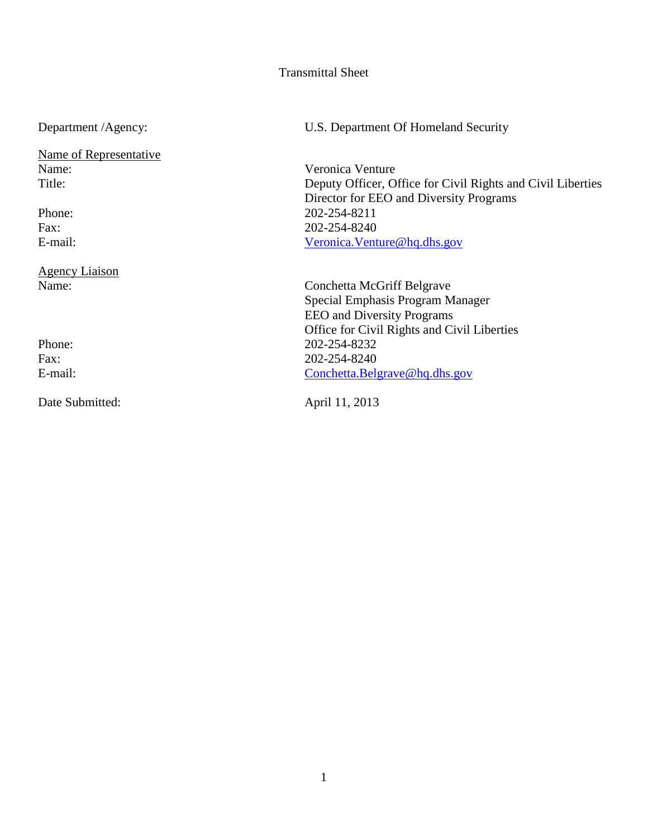#### Transmittal Sheet

Name of Representative<br>Name: Name:<br>
Title: Veronica Venture<br>
Title: Deputy Officer, O

Agency Liaison<br>Name:

Date Submitted: April 11, 2013

Department /Agency: U.S. Department Of Homeland Security

Deputy Officer, Office for Civil Rights and Civil Liberties Director for EEO and Diversity Programs Phone: 202-254-8211 Fax: 202-254-8240 E-mail: [Veronica.Venture@hq.dhs.gov](mailto:Veronica.Venture@hq.dhs.gov)

Conchetta McGriff Belgrave Special Emphasis Program Manager EEO and Diversity Programs Office for Civil Rights and Civil Liberties Phone: 202-254-8232 Fax: 202-254-8240<br>E-mail: Conchetta.Bels [Conchetta.Belgrave@hq.dhs.gov](mailto:Conchetta.Belgrave@hq.dhs.gov)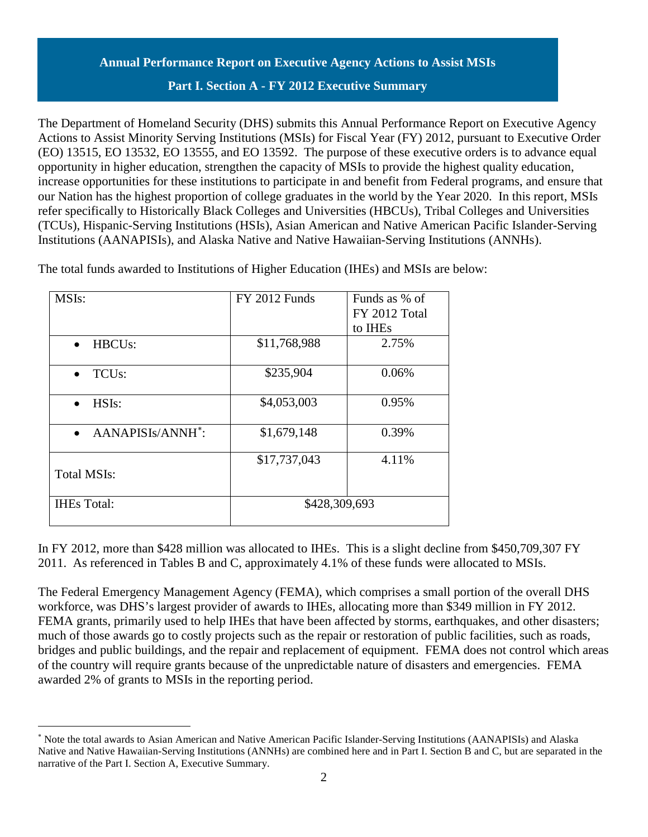# **Annual Performance Report on Executive Agency Actions to Assist MSIs**

### **Part I. Section A - FY 2012 Executive Summary**

The Department of Homeland Security (DHS) submits this Annual Performance Report on Executive Agency Actions to Assist Minority Serving Institutions (MSIs) for Fiscal Year (FY) 2012, pursuant to Executive Order (EO) 13515, EO 13532, EO 13555, and EO 13592. The purpose of these executive orders is to advance equal opportunity in higher education, strengthen the capacity of MSIs to provide the highest quality education, increase opportunities for these institutions to participate in and benefit from Federal programs, and ensure that our Nation has the highest proportion of college graduates in the world by the Year 2020. In this report, MSIs refer specifically to Historically Black Colleges and Universities (HBCUs), Tribal Colleges and Universities (TCUs), Hispanic-Serving Institutions (HSIs), Asian American and Native American Pacific Islander-Serving Institutions (AANAPISIs), and Alaska Native and Native Hawaiian-Serving Institutions (ANNHs).

| MSIs:                                      | <b>FY 2012 Funds</b> | Funds as % of |
|--------------------------------------------|----------------------|---------------|
|                                            |                      | FY 2012 Total |
|                                            |                      | to IHEs       |
| HBCU <sub>s</sub> :                        | \$11,768,988         | 2.75%         |
| TCU <sub>s</sub> :                         | \$235,904            | 0.06%         |
| HSI <sub>s</sub> :                         | \$4,053,003          | 0.95%         |
| AANAPISIs/ANNH <sup>*</sup> :<br>$\bullet$ | \$1,679,148          | 0.39%         |
| <b>Total MSIs:</b>                         | \$17,737,043         | 4.11%         |
| <b>IHEs</b> Total:                         | \$428,309,693        |               |

 $\overline{a}$ 

The total funds awarded to Institutions of Higher Education (IHEs) and MSIs are below:

In FY 2012, more than \$428 million was allocated to IHEs. This is a slight decline from \$450,709,307 FY 2011. As referenced in Tables B and C, approximately 4.1% of these funds were allocated to MSIs.

The Federal Emergency Management Agency (FEMA), which comprises a small portion of the overall DHS workforce, was DHS's largest provider of awards to IHEs, allocating more than \$349 million in FY 2012. FEMA grants, primarily used to help IHEs that have been affected by storms, earthquakes, and other disasters; much of those awards go to costly projects such as the repair or restoration of public facilities, such as roads, bridges and public buildings, and the repair and replacement of equipment. FEMA does not control which areas of the country will require grants because of the unpredictable nature of disasters and emergencies. FEMA awarded 2% of grants to MSIs in the reporting period.

<span id="page-2-0"></span><sup>∗</sup> Note the total awards to Asian American and Native American Pacific Islander-Serving Institutions (AANAPISIs) and Alaska Native and Native Hawaiian-Serving Institutions (ANNHs) are combined here and in Part I. Section B and C, but are separated in the narrative of the Part I. Section A, Executive Summary.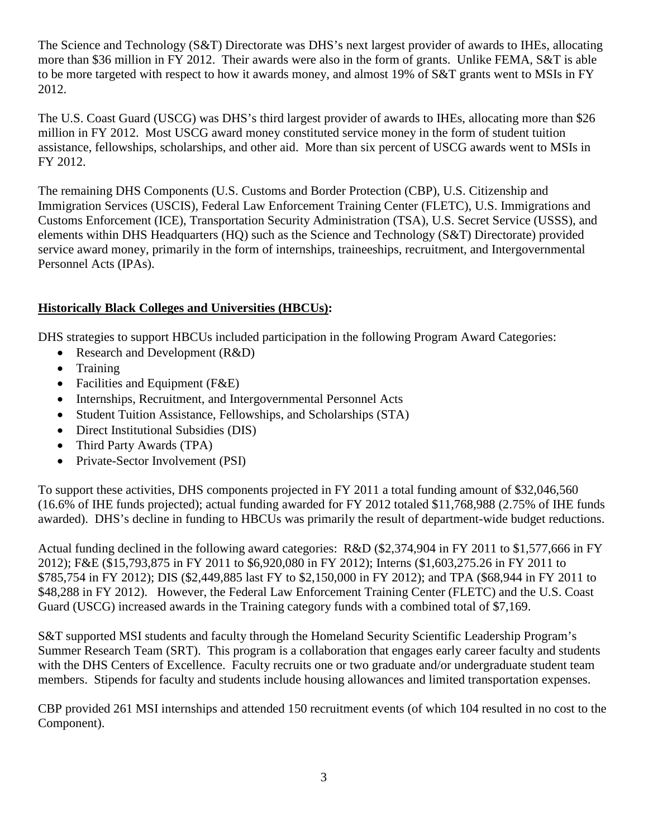The Science and Technology (S&T) Directorate was DHS's next largest provider of awards to IHEs, allocating more than \$36 million in FY 2012. Their awards were also in the form of grants. Unlike FEMA, S&T is able to be more targeted with respect to how it awards money, and almost 19% of S&T grants went to MSIs in FY 2012.

The U.S. Coast Guard (USCG) was DHS's third largest provider of awards to IHEs, allocating more than \$26 million in FY 2012. Most USCG award money constituted service money in the form of student tuition assistance, fellowships, scholarships, and other aid. More than six percent of USCG awards went to MSIs in FY 2012.

The remaining DHS Components (U.S. Customs and Border Protection (CBP), U.S. Citizenship and Immigration Services (USCIS), Federal Law Enforcement Training Center (FLETC), U.S. Immigrations and Customs Enforcement (ICE), Transportation Security Administration (TSA), U.S. Secret Service (USSS), and elements within DHS Headquarters (HQ) such as the Science and Technology (S&T) Directorate) provided service award money, primarily in the form of internships, traineeships, recruitment, and Intergovernmental Personnel Acts (IPAs).

# **Historically Black Colleges and Universities (HBCUs):**

DHS strategies to support HBCUs included participation in the following Program Award Categories:

- Research and Development (R&D)
- Training
- Facilities and Equipment (F&E)
- Internships, Recruitment, and Intergovernmental Personnel Acts
- Student Tuition Assistance, Fellowships, and Scholarships (STA)
- Direct Institutional Subsidies (DIS)
- Third Party Awards (TPA)
- Private-Sector Involvement (PSI)

To support these activities, DHS components projected in FY 2011 a total funding amount of \$32,046,560 (16.6% of IHE funds projected); actual funding awarded for FY 2012 totaled \$11,768,988 (2.75% of IHE funds awarded). DHS's decline in funding to HBCUs was primarily the result of department-wide budget reductions.

Actual funding declined in the following award categories: R&D (\$2,374,904 in FY 2011 to \$1,577,666 in FY 2012); F&E (\$15,793,875 in FY 2011 to \$6,920,080 in FY 2012); Interns (\$1,603,275.26 in FY 2011 to \$785,754 in FY 2012); DIS (\$2,449,885 last FY to \$2,150,000 in FY 2012); and TPA (\$68,944 in FY 2011 to \$48,288 in FY 2012). However, the Federal Law Enforcement Training Center (FLETC) and the U.S. Coast Guard (USCG) increased awards in the Training category funds with a combined total of \$7,169.

S&T supported MSI students and faculty through the Homeland Security Scientific Leadership Program's Summer Research Team (SRT). This program is a collaboration that engages early career faculty and students with the DHS Centers of Excellence. Faculty recruits one or two graduate and/or undergraduate student team members. Stipends for faculty and students include housing allowances and limited transportation expenses.

CBP provided 261 MSI internships and attended 150 recruitment events (of which 104 resulted in no cost to the Component).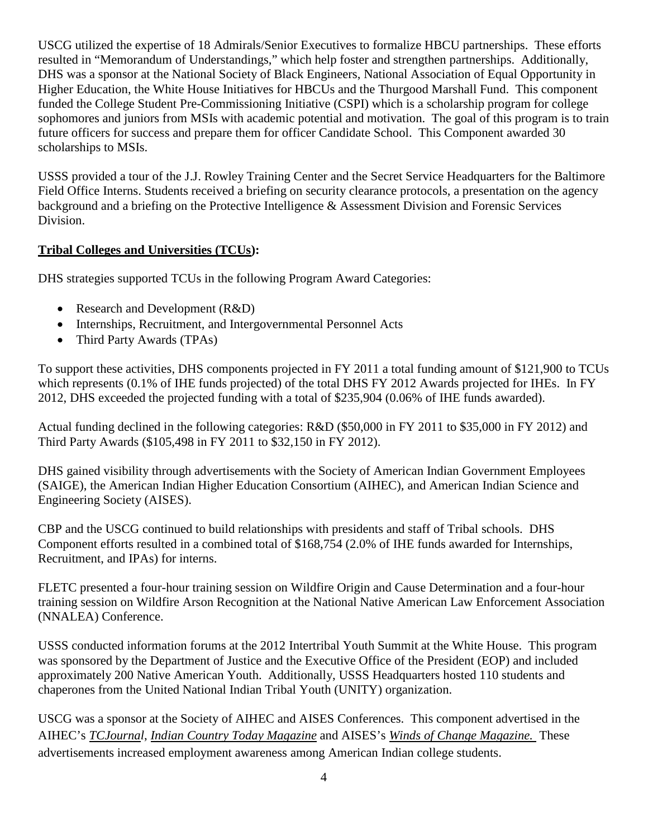USCG utilized the expertise of 18 Admirals/Senior Executives to formalize HBCU partnerships. These efforts resulted in "Memorandum of Understandings," which help foster and strengthen partnerships. Additionally, DHS was a sponsor at the National Society of Black Engineers, National Association of Equal Opportunity in Higher Education, the White House Initiatives for HBCUs and the Thurgood Marshall Fund. This component funded the College Student Pre-Commissioning Initiative (CSPI) which is a scholarship program for college sophomores and juniors from MSIs with academic potential and motivation. The goal of this program is to train future officers for success and prepare them for officer Candidate School. This Component awarded 30 scholarships to MSIs.

USSS provided a tour of the J.J. Rowley Training Center and the Secret Service Headquarters for the Baltimore Field Office Interns. Students received a briefing on security clearance protocols, a presentation on the agency background and a briefing on the Protective Intelligence & Assessment Division and Forensic Services Division.

# **Tribal Colleges and Universities (TCUs):**

DHS strategies supported TCUs in the following Program Award Categories:

- Research and Development (R&D)
- Internships, Recruitment, and Intergovernmental Personnel Acts
- Third Party Awards (TPAs)

To support these activities, DHS components projected in FY 2011 a total funding amount of \$121,900 to TCUs which represents (0.1% of IHE funds projected) of the total DHS FY 2012 Awards projected for IHEs. In FY 2012, DHS exceeded the projected funding with a total of \$235,904 (0.06% of IHE funds awarded).

Actual funding declined in the following categories: R&D (\$50,000 in FY 2011 to \$35,000 in FY 2012) and Third Party Awards (\$105,498 in FY 2011 to \$32,150 in FY 2012).

DHS gained visibility through advertisements with the Society of American Indian Government Employees (SAIGE), the American Indian Higher Education Consortium (AIHEC), and American Indian Science and Engineering Society (AISES).

CBP and the USCG continued to build relationships with presidents and staff of Tribal schools. DHS Component efforts resulted in a combined total of \$168,754 (2.0% of IHE funds awarded for Internships, Recruitment, and IPAs) for interns.

FLETC presented a four-hour training session on Wildfire Origin and Cause Determination and a four-hour training session on Wildfire Arson Recognition at the National Native American Law Enforcement Association (NNALEA) Conference.

USSS conducted information forums at the 2012 Intertribal Youth Summit at the White House. This program was sponsored by the Department of Justice and the Executive Office of the President (EOP) and included approximately 200 Native American Youth. Additionally, USSS Headquarters hosted 110 students and chaperones from the United National Indian Tribal Youth (UNITY) organization.

USCG was a sponsor at the Society of AIHEC and AISES Conferences. This component advertised in the AIHEC's *TCJournal*, *Indian Country Today Magazine* and AISES's *Winds of Change Magazine.* These advertisements increased employment awareness among American Indian college students.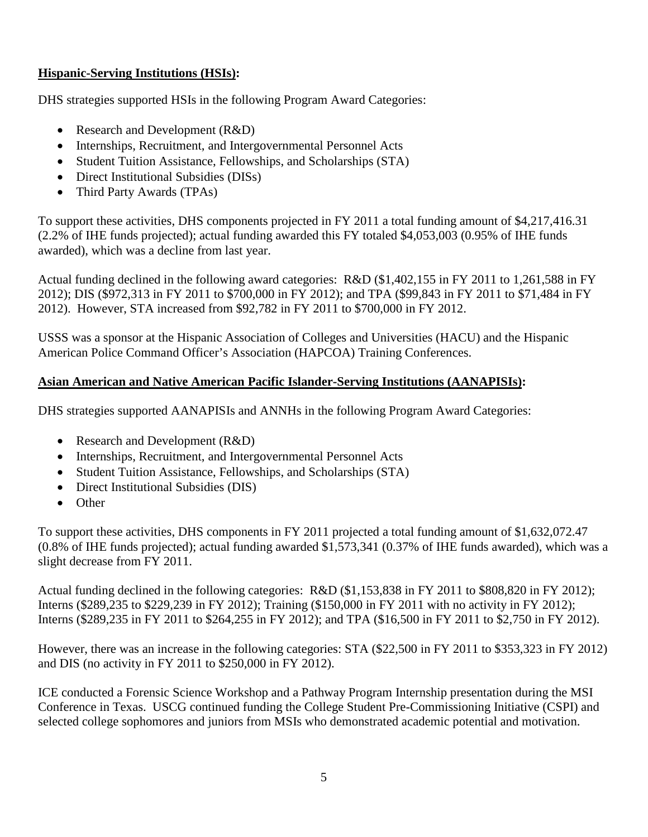# **Hispanic-Serving Institutions (HSIs):**

DHS strategies supported HSIs in the following Program Award Categories:

- Research and Development (R&D)
- Internships, Recruitment, and Intergovernmental Personnel Acts
- Student Tuition Assistance, Fellowships, and Scholarships (STA)
- Direct Institutional Subsidies (DISs)
- Third Party Awards (TPAs)

To support these activities, DHS components projected in FY 2011 a total funding amount of \$4,217,416.31 (2.2% of IHE funds projected); actual funding awarded this FY totaled \$4,053,003 (0.95% of IHE funds awarded), which was a decline from last year.

Actual funding declined in the following award categories: R&D (\$1,402,155 in FY 2011 to 1,261,588 in FY 2012); DIS (\$972,313 in FY 2011 to \$700,000 in FY 2012); and TPA (\$99,843 in FY 2011 to \$71,484 in FY 2012). However, STA increased from \$92,782 in FY 2011 to \$700,000 in FY 2012.

USSS was a sponsor at the Hispanic Association of Colleges and Universities (HACU) and the Hispanic American Police Command Officer's Association (HAPCOA) Training Conferences.

# **Asian American and Native American Pacific Islander-Serving Institutions (AANAPISIs):**

DHS strategies supported AANAPISIs and ANNHs in the following Program Award Categories:

- Research and Development (R&D)
- Internships, Recruitment, and Intergovernmental Personnel Acts
- Student Tuition Assistance, Fellowships, and Scholarships (STA)
- Direct Institutional Subsidies (DIS)
- Other

To support these activities, DHS components in FY 2011 projected a total funding amount of \$1,632,072.47 (0.8% of IHE funds projected); actual funding awarded \$1,573,341 (0.37% of IHE funds awarded), which was a slight decrease from FY 2011.

Actual funding declined in the following categories: R&D (\$1,153,838 in FY 2011 to \$808,820 in FY 2012); Interns (\$289,235 to \$229,239 in FY 2012); Training (\$150,000 in FY 2011 with no activity in FY 2012); Interns (\$289,235 in FY 2011 to \$264,255 in FY 2012); and TPA (\$16,500 in FY 2011 to \$2,750 in FY 2012).

However, there was an increase in the following categories: STA (\$22,500 in FY 2011 to \$353,323 in FY 2012) and DIS (no activity in FY 2011 to \$250,000 in FY 2012).

ICE conducted a Forensic Science Workshop and a Pathway Program Internship presentation during the MSI Conference in Texas. USCG continued funding the College Student Pre-Commissioning Initiative (CSPI) and selected college sophomores and juniors from MSIs who demonstrated academic potential and motivation.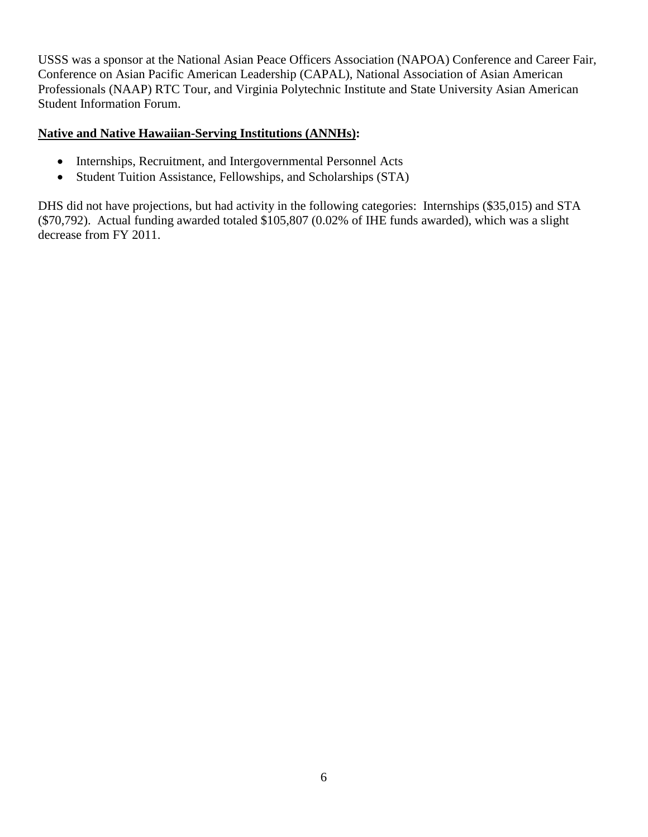USSS was a sponsor at the National Asian Peace Officers Association (NAPOA) Conference and Career Fair, Conference on Asian Pacific American Leadership (CAPAL), National Association of Asian American Professionals (NAAP) RTC Tour, and Virginia Polytechnic Institute and State University Asian American Student Information Forum.

#### **Native and Native Hawaiian-Serving Institutions (ANNHs):**

- Internships, Recruitment, and Intergovernmental Personnel Acts
- Student Tuition Assistance, Fellowships, and Scholarships (STA)

DHS did not have projections, but had activity in the following categories: Internships (\$35,015) and STA (\$70,792). Actual funding awarded totaled \$105,807 (0.02% of IHE funds awarded), which was a slight decrease from FY 2011.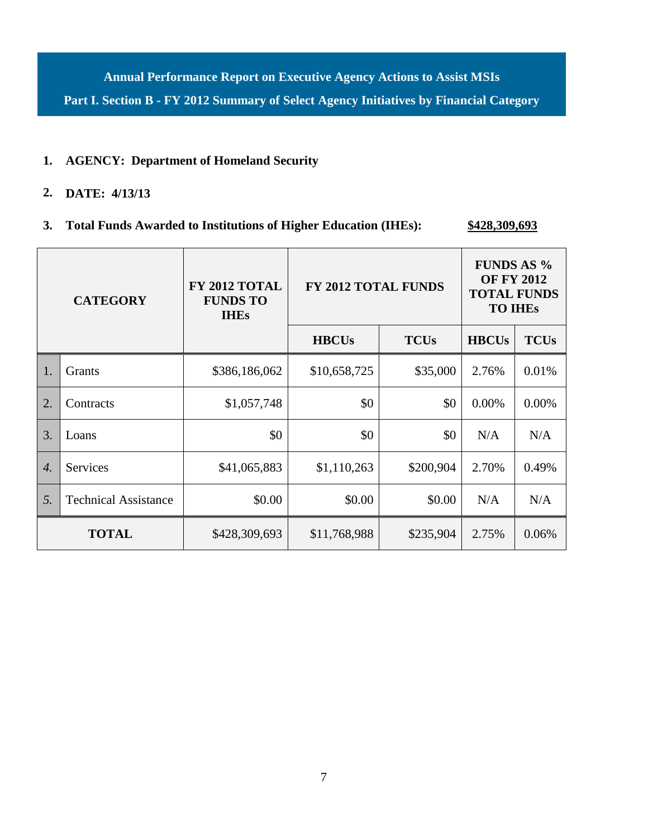**Annual Performance Report on Executive Agency Actions to Assist MSIs Part I. Section B - FY 2012 Summary of Select Agency Initiatives by Financial Category**

#### **1. AGENCY: Department of Homeland Security**

# **2. DATE: 4/13/13**

# **3. Total Funds Awarded to Institutions of Higher Education (IHEs): \$428,309,693**

| <b>CATEGORY</b>  |                             | FY 2012 TOTAL<br><b>FUNDS TO</b><br><b>IHEs</b> | <b>FY 2012 TOTAL FUNDS</b>  |           | <b>FUNDS AS %</b><br><b>OF FY 2012</b><br><b>TOTAL FUNDS</b><br><b>TO IHES</b> |             |
|------------------|-----------------------------|-------------------------------------------------|-----------------------------|-----------|--------------------------------------------------------------------------------|-------------|
|                  |                             |                                                 | <b>TCUs</b><br><b>HBCUs</b> |           | <b>HBCUs</b>                                                                   | <b>TCUs</b> |
| 1.               | Grants                      | \$386,186,062                                   | \$10,658,725                | \$35,000  | 2.76%                                                                          | 0.01%       |
| 2.               | Contracts                   | \$1,057,748                                     | \$0                         | \$0       | 0.00%                                                                          | 0.00%       |
| 3.               | Loans                       | \$0                                             | \$0                         | \$0       | N/A                                                                            | N/A         |
| $\overline{4}$ . | Services                    | \$41,065,883                                    | \$1,110,263                 | \$200,904 | 2.70%                                                                          | 0.49%       |
| 5.               | <b>Technical Assistance</b> | \$0.00                                          | \$0.00                      | \$0.00    | N/A                                                                            | N/A         |
|                  | <b>TOTAL</b>                | \$428,309,693                                   | \$11,768,988                | \$235,904 | 2.75%                                                                          | 0.06%       |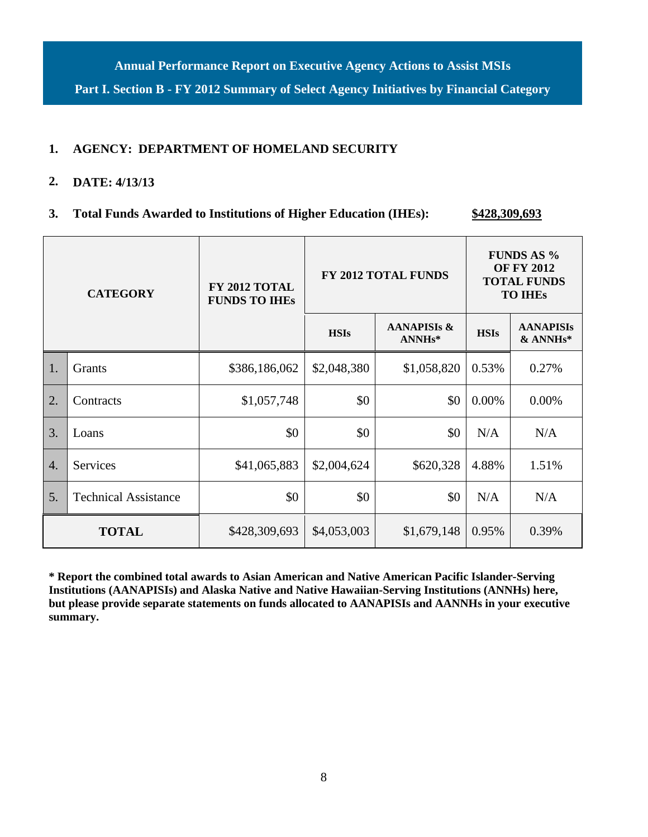**Annual Performance Report on Executive Agency Actions to Assist MSIs Part I. Section B - FY 2012 Summary of Select Agency Initiatives by Financial Category**

### **1. AGENCY: DEPARTMENT OF HOMELAND SECURITY**

### **2. DATE: 4/13/13**

**3. Total Funds Awarded to Institutions of Higher Education (IHEs): \$428,309,693**

| <b>CATEGORY</b>  |                             | FY 2012 TOTAL<br><b>FUNDS TO IHES</b> | FY 2012 TOTAL FUNDS |                                               | <b>FUNDS AS %</b><br><b>OF FY 2012</b><br><b>TOTAL FUNDS</b><br><b>TO IHES</b> |                                           |
|------------------|-----------------------------|---------------------------------------|---------------------|-----------------------------------------------|--------------------------------------------------------------------------------|-------------------------------------------|
|                  |                             |                                       | <b>HSIs</b>         | <b>AANAPISIS &amp;</b><br>ANNH <sub>s</sub> * | <b>HSIs</b>                                                                    | <b>AANAPISIs</b><br>& ANNH <sub>s</sub> * |
| 1.               | Grants                      | \$386,186,062                         | \$2,048,380         | \$1,058,820                                   | 0.53%                                                                          | 0.27%                                     |
| 2.               | Contracts                   | \$1,057,748                           | \$0                 | \$0                                           | 0.00%                                                                          | 0.00%                                     |
| 3.               | Loans                       | \$0                                   | \$0                 | \$0                                           | N/A                                                                            | N/A                                       |
| $\overline{4}$ . | <b>Services</b>             | \$41,065,883                          | \$2,004,624         | \$620,328                                     | 4.88%                                                                          | 1.51%                                     |
| 5.               | <b>Technical Assistance</b> | \$0                                   | \$0                 | \$0                                           | N/A                                                                            | N/A                                       |
|                  | <b>TOTAL</b>                | \$428,309,693                         | \$4,053,003         | \$1,679,148                                   | 0.95%                                                                          | 0.39%                                     |

**\* Report the combined total awards to Asian American and Native American Pacific Islander-Serving Institutions (AANAPISIs) and Alaska Native and Native Hawaiian-Serving Institutions (ANNHs) here, but please provide separate statements on funds allocated to AANAPISIs and AANNHs in your executive summary.**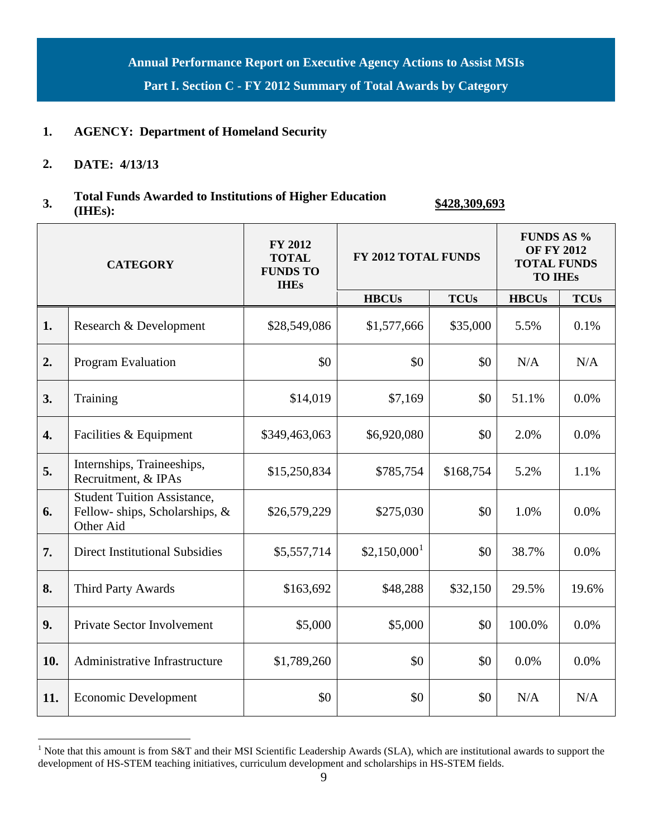**Annual Performance Report on Executive Agency Actions to Assist MSIs Part I. Section C - FY 2012 Summary of Total Awards by Category**

### **1. AGENCY: Department of Homeland Security**

#### **2. DATE: 4/13/13**

# **3. Total Funds Awarded to Institutions of Higher Education (IHEs): \$428,309,693**

| <b>CATEGORY</b> |                                                                                  | <b>FY 2012</b><br><b>TOTAL</b><br><b>FUNDS TO</b><br><b>IHEs</b> | FY 2012 TOTAL FUNDS       |             | <b>FUNDS AS %</b><br><b>OF FY 2012</b><br><b>TOTAL FUNDS</b><br><b>TO IHES</b> |             |
|-----------------|----------------------------------------------------------------------------------|------------------------------------------------------------------|---------------------------|-------------|--------------------------------------------------------------------------------|-------------|
|                 |                                                                                  |                                                                  | <b>HBCUs</b>              | <b>TCUs</b> | <b>HBCUs</b>                                                                   | <b>TCUs</b> |
| 1.              | Research & Development                                                           | \$28,549,086                                                     | \$1,577,666               | \$35,000    | 5.5%                                                                           | 0.1%        |
| 2.              | Program Evaluation                                                               | \$0                                                              | \$0                       | \$0         | N/A                                                                            | N/A         |
| 3.              | Training                                                                         | \$14,019                                                         | \$7,169                   | \$0         | 51.1%                                                                          | 0.0%        |
| 4.              | Facilities & Equipment                                                           | \$349,463,063                                                    | \$6,920,080               | \$0         | 2.0%                                                                           | 0.0%        |
| 5.              | Internships, Traineeships,<br>Recruitment, & IPAs                                | \$15,250,834                                                     | \$785,754                 | \$168,754   | 5.2%                                                                           | 1.1%        |
| 6.              | <b>Student Tuition Assistance,</b><br>Fellow-ships, Scholarships, &<br>Other Aid | \$26,579,229                                                     | \$275,030                 | \$0         | 1.0%                                                                           | 0.0%        |
| 7.              | <b>Direct Institutional Subsidies</b>                                            | \$5,557,714                                                      | $$2,150,000$ <sup>1</sup> | \$0         | 38.7%                                                                          | 0.0%        |
| 8.              | Third Party Awards                                                               | \$163,692                                                        | \$48,288                  | \$32,150    | 29.5%                                                                          | 19.6%       |
| 9.              | <b>Private Sector Involvement</b>                                                | \$5,000                                                          | \$5,000                   | \$0         | 100.0%                                                                         | 0.0%        |
| 10.             | Administrative Infrastructure                                                    | \$1,789,260                                                      | \$0                       | \$0         | 0.0%                                                                           | 0.0%        |
| 11.             | <b>Economic Development</b>                                                      | \$0                                                              | \$0                       | \$0         | N/A                                                                            | N/A         |

<span id="page-9-0"></span><sup>&</sup>lt;sup>1</sup> Note that this amount is from S&T and their MSI Scientific Leadership Awards (SLA), which are institutional awards to support the development of HS-STEM teaching initiatives, curriculum development and scholarships in HS-STEM fields.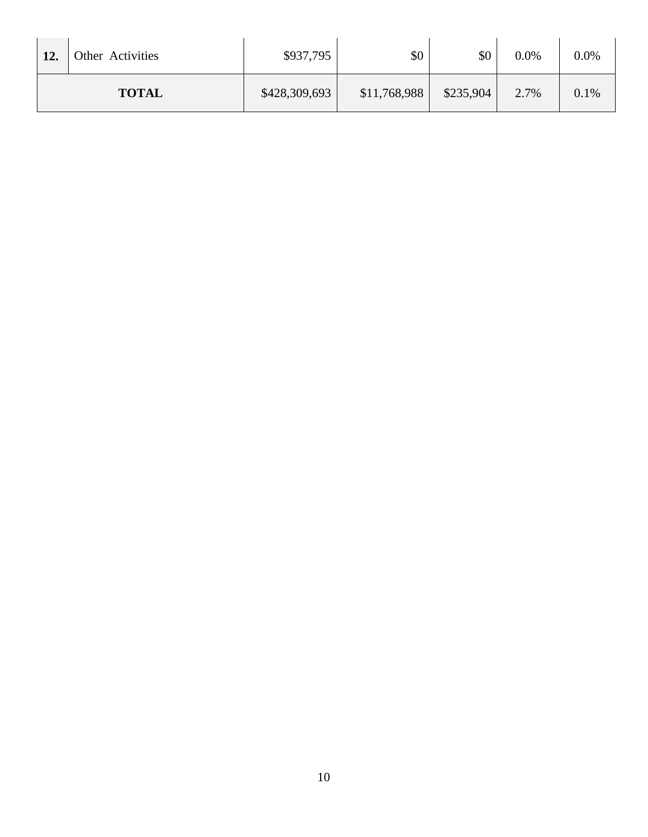| 12.          | <b>Other Activities</b> | \$937,795     | \$0          | \$0       | 0.0% | $0.0\%$ |
|--------------|-------------------------|---------------|--------------|-----------|------|---------|
| <b>TOTAL</b> |                         | \$428,309,693 | \$11,768,988 | \$235,904 | 2.7% | 0.1%    |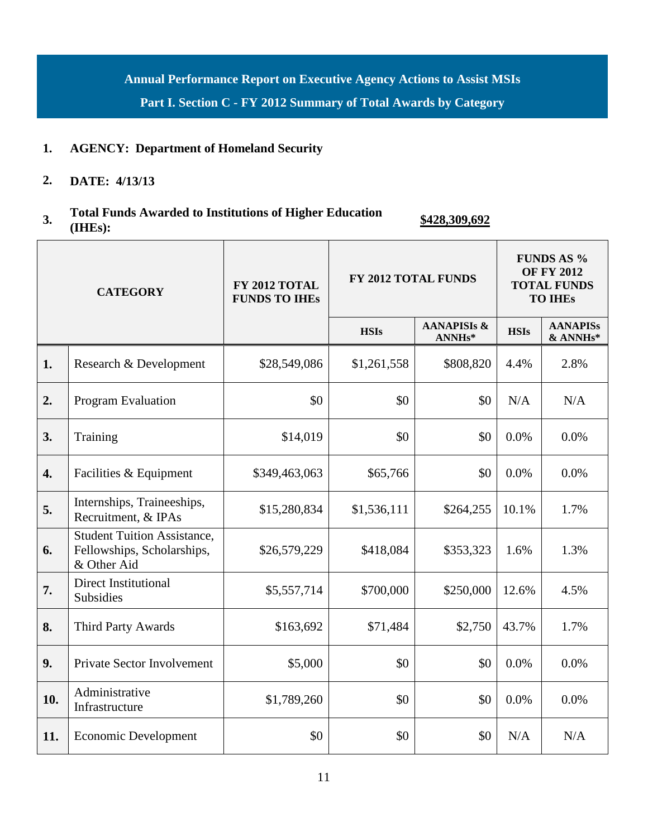**Annual Performance Report on Executive Agency Actions to Assist MSIs**

**Part I. Section C - FY 2012 Summary of Total Awards by Category**

# **1. AGENCY: Department of Homeland Security**

**2. DATE: 4/13/13**

# **3. Total Funds Awarded to Institutions of Higher Education (IHEs): \$428,309,692**

| <b>CATEGORY</b>  |                                                                                 | FY 2012 TOTAL<br><b>FUNDS TO IHES</b> |             | FY 2012 TOTAL FUNDS                           |             | <b>FUNDS AS %</b><br><b>OF FY 2012</b><br><b>TOTAL FUNDS</b><br><b>TO IHES</b> |  |
|------------------|---------------------------------------------------------------------------------|---------------------------------------|-------------|-----------------------------------------------|-------------|--------------------------------------------------------------------------------|--|
|                  |                                                                                 |                                       | <b>HSIs</b> | <b>AANAPISIS &amp;</b><br>ANNH <sub>s</sub> * | <b>HSIs</b> | <b>AANAPISs</b><br>& ANNHs*                                                    |  |
| 1.               | Research & Development                                                          | \$28,549,086                          | \$1,261,558 | \$808,820                                     | 4.4%        | 2.8%                                                                           |  |
| 2.               | Program Evaluation                                                              | \$0                                   | \$0         | \$0                                           | N/A         | N/A                                                                            |  |
| 3.               | Training                                                                        | \$14,019                              | \$0         | \$0                                           | 0.0%        | 0.0%                                                                           |  |
| $\overline{4}$ . | Facilities & Equipment                                                          | \$349,463,063                         | \$65,766    | \$0                                           | 0.0%        | 0.0%                                                                           |  |
| 5.               | Internships, Traineeships,<br>Recruitment, & IPAs                               | \$15,280,834                          | \$1,536,111 | \$264,255                                     | 10.1%       | 1.7%                                                                           |  |
| 6.               | <b>Student Tuition Assistance,</b><br>Fellowships, Scholarships,<br>& Other Aid | \$26,579,229                          | \$418,084   | \$353,323                                     | 1.6%        | 1.3%                                                                           |  |
| 7.               | Direct Institutional<br>Subsidies                                               | \$5,557,714                           | \$700,000   | \$250,000                                     | 12.6%       | 4.5%                                                                           |  |
| 8.               | Third Party Awards                                                              | \$163,692                             | \$71,484    | \$2,750                                       | 43.7%       | 1.7%                                                                           |  |
| 9.               | Private Sector Involvement                                                      | \$5,000                               | \$0         | \$0                                           | 0.0%        | 0.0%                                                                           |  |
| 10.              | Administrative<br>Infrastructure                                                | \$1,789,260                           | \$0         | \$0                                           | 0.0%        | 0.0%                                                                           |  |
| 11.              | <b>Economic Development</b>                                                     | \$0                                   | \$0         | \$0                                           | N/A         | N/A                                                                            |  |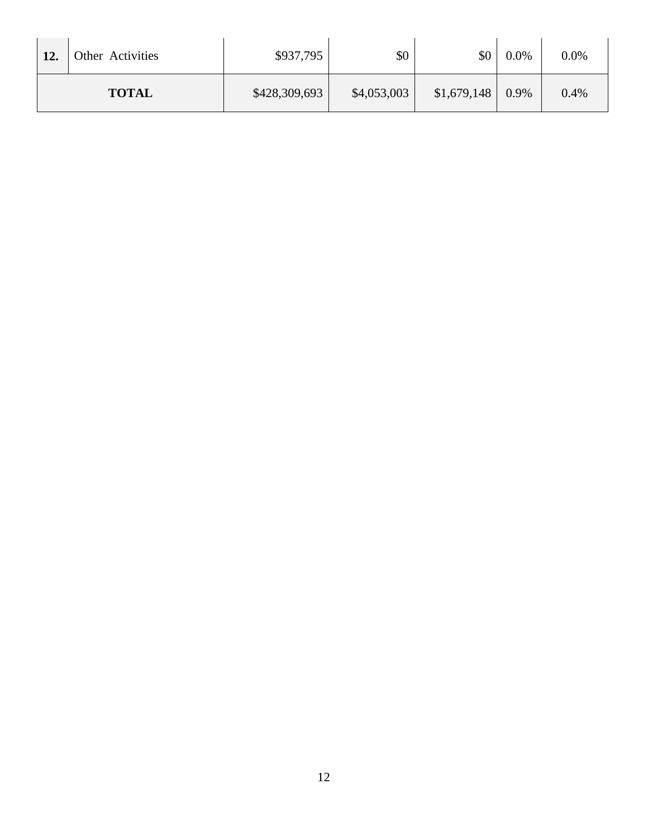| 12. | Other Activities | \$937,795     | \$0         | \$0         | $0.0\%$ | $0.0\%$ |
|-----|------------------|---------------|-------------|-------------|---------|---------|
|     | <b>TOTAL</b>     | \$428,309,693 | \$4,053,003 | \$1,679,148 | 0.9%    | 0.4%    |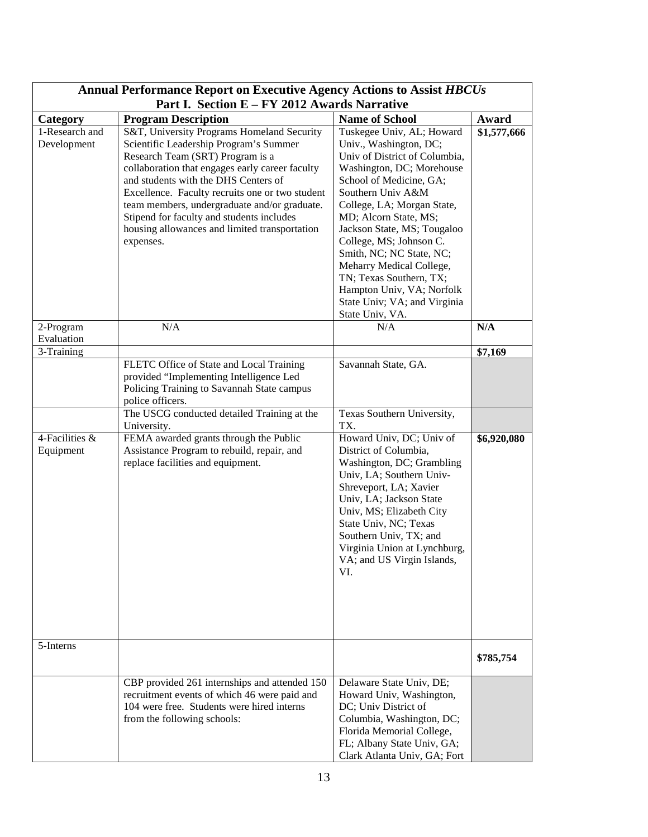| <b>Annual Performance Report on Executive Agency Actions to Assist HBCUs</b><br>Part I. Section E - FY 2012 Awards Narrative |                                                                                                                                                                                                                                                                                                                                                                                                                                   |                                                                                                                                                                                                                                                                                                                                                                                                                                                       |             |  |
|------------------------------------------------------------------------------------------------------------------------------|-----------------------------------------------------------------------------------------------------------------------------------------------------------------------------------------------------------------------------------------------------------------------------------------------------------------------------------------------------------------------------------------------------------------------------------|-------------------------------------------------------------------------------------------------------------------------------------------------------------------------------------------------------------------------------------------------------------------------------------------------------------------------------------------------------------------------------------------------------------------------------------------------------|-------------|--|
| Category                                                                                                                     | <b>Program Description</b>                                                                                                                                                                                                                                                                                                                                                                                                        | <b>Name of School</b>                                                                                                                                                                                                                                                                                                                                                                                                                                 | Award       |  |
| 1-Research and<br>Development                                                                                                | S&T, University Programs Homeland Security<br>Scientific Leadership Program's Summer<br>Research Team (SRT) Program is a<br>collaboration that engages early career faculty<br>and students with the DHS Centers of<br>Excellence. Faculty recruits one or two student<br>team members, undergraduate and/or graduate.<br>Stipend for faculty and students includes<br>housing allowances and limited transportation<br>expenses. | Tuskegee Univ, AL; Howard<br>Univ., Washington, DC;<br>Univ of District of Columbia,<br>Washington, DC; Morehouse<br>School of Medicine, GA;<br>Southern Univ A&M<br>College, LA; Morgan State,<br>MD; Alcorn State, MS;<br>Jackson State, MS; Tougaloo<br>College, MS; Johnson C.<br>Smith, NC; NC State, NC;<br>Meharry Medical College,<br>TN; Texas Southern, TX;<br>Hampton Univ, VA; Norfolk<br>State Univ; VA; and Virginia<br>State Univ, VA. | \$1,577,666 |  |
| 2-Program<br>Evaluation                                                                                                      | N/A                                                                                                                                                                                                                                                                                                                                                                                                                               | N/A                                                                                                                                                                                                                                                                                                                                                                                                                                                   | N/A         |  |
| 3-Training                                                                                                                   |                                                                                                                                                                                                                                                                                                                                                                                                                                   |                                                                                                                                                                                                                                                                                                                                                                                                                                                       | \$7,169     |  |
|                                                                                                                              | FLETC Office of State and Local Training<br>provided "Implementing Intelligence Led<br>Policing Training to Savannah State campus<br>police officers.                                                                                                                                                                                                                                                                             | Savannah State, GA.                                                                                                                                                                                                                                                                                                                                                                                                                                   |             |  |
|                                                                                                                              | The USCG conducted detailed Training at the<br>University.                                                                                                                                                                                                                                                                                                                                                                        | Texas Southern University,<br>TX.                                                                                                                                                                                                                                                                                                                                                                                                                     |             |  |
| 4-Facilities &<br>Equipment                                                                                                  | FEMA awarded grants through the Public<br>Assistance Program to rebuild, repair, and<br>replace facilities and equipment.                                                                                                                                                                                                                                                                                                         | Howard Univ, DC; Univ of<br>District of Columbia,<br>Washington, DC; Grambling<br>Univ, LA; Southern Univ-<br>Shreveport, LA; Xavier<br>Univ, LA; Jackson State<br>Univ, MS; Elizabeth City<br>State Univ, NC; Texas<br>Southern Univ, TX; and<br>Virginia Union at Lynchburg,<br>VA; and US Virgin Islands,<br>VI.                                                                                                                                   | \$6,920,080 |  |
| 5-Interns                                                                                                                    |                                                                                                                                                                                                                                                                                                                                                                                                                                   |                                                                                                                                                                                                                                                                                                                                                                                                                                                       | \$785,754   |  |
|                                                                                                                              | CBP provided 261 internships and attended 150<br>recruitment events of which 46 were paid and<br>104 were free. Students were hired interns<br>from the following schools:                                                                                                                                                                                                                                                        | Delaware State Univ, DE;<br>Howard Univ, Washington,<br>DC; Univ District of<br>Columbia, Washington, DC;<br>Florida Memorial College,<br>FL; Albany State Univ, GA;<br>Clark Atlanta Univ, GA; Fort                                                                                                                                                                                                                                                  |             |  |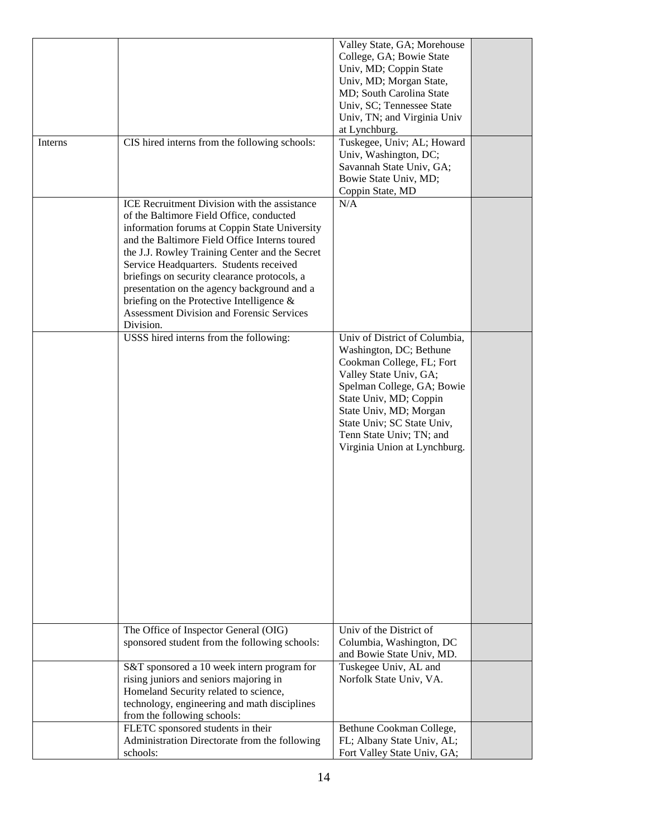|         |                                                  | Valley State, GA; Morehouse   |  |
|---------|--------------------------------------------------|-------------------------------|--|
|         |                                                  | College, GA; Bowie State      |  |
|         |                                                  | Univ, MD; Coppin State        |  |
|         |                                                  | Univ, MD; Morgan State,       |  |
|         |                                                  | MD; South Carolina State      |  |
|         |                                                  | Univ, SC; Tennessee State     |  |
|         |                                                  | Univ, TN; and Virginia Univ   |  |
|         |                                                  |                               |  |
|         |                                                  | at Lynchburg.                 |  |
| Interns | CIS hired interns from the following schools:    | Tuskegee, Univ; AL; Howard    |  |
|         |                                                  | Univ, Washington, DC;         |  |
|         |                                                  | Savannah State Univ, GA;      |  |
|         |                                                  | Bowie State Univ, MD;         |  |
|         |                                                  | Coppin State, MD              |  |
|         | ICE Recruitment Division with the assistance     | N/A                           |  |
|         | of the Baltimore Field Office, conducted         |                               |  |
|         | information forums at Coppin State University    |                               |  |
|         | and the Baltimore Field Office Interns toured    |                               |  |
|         | the J.J. Rowley Training Center and the Secret   |                               |  |
|         |                                                  |                               |  |
|         | Service Headquarters. Students received          |                               |  |
|         | briefings on security clearance protocols, a     |                               |  |
|         | presentation on the agency background and a      |                               |  |
|         | briefing on the Protective Intelligence $\&$     |                               |  |
|         | <b>Assessment Division and Forensic Services</b> |                               |  |
|         | Division.                                        |                               |  |
|         | USSS hired interns from the following:           | Univ of District of Columbia, |  |
|         |                                                  | Washington, DC; Bethune       |  |
|         |                                                  | Cookman College, FL; Fort     |  |
|         |                                                  | Valley State Univ, GA;        |  |
|         |                                                  | Spelman College, GA; Bowie    |  |
|         |                                                  |                               |  |
|         |                                                  | State Univ, MD; Coppin        |  |
|         |                                                  | State Univ, MD; Morgan        |  |
|         |                                                  | State Univ; SC State Univ,    |  |
|         |                                                  | Tenn State Univ; TN; and      |  |
|         |                                                  | Virginia Union at Lynchburg.  |  |
|         |                                                  |                               |  |
|         |                                                  |                               |  |
|         |                                                  |                               |  |
|         |                                                  |                               |  |
|         |                                                  |                               |  |
|         |                                                  |                               |  |
|         |                                                  |                               |  |
|         |                                                  |                               |  |
|         |                                                  |                               |  |
|         |                                                  |                               |  |
|         |                                                  |                               |  |
|         |                                                  |                               |  |
|         |                                                  |                               |  |
|         |                                                  |                               |  |
|         |                                                  |                               |  |
|         | The Office of Inspector General (OIG)            | Univ of the District of       |  |
|         |                                                  |                               |  |
|         | sponsored student from the following schools:    | Columbia, Washington, DC      |  |
|         |                                                  | and Bowie State Univ, MD.     |  |
|         | S&T sponsored a 10 week intern program for       | Tuskegee Univ, AL and         |  |
|         | rising juniors and seniors majoring in           | Norfolk State Univ, VA.       |  |
|         | Homeland Security related to science,            |                               |  |
|         | technology, engineering and math disciplines     |                               |  |
|         | from the following schools:                      |                               |  |
|         | FLETC sponsored students in their                | Bethune Cookman College,      |  |
|         | Administration Directorate from the following    | FL; Albany State Univ, AL;    |  |
|         | schools:                                         |                               |  |
|         |                                                  | Fort Valley State Univ, GA;   |  |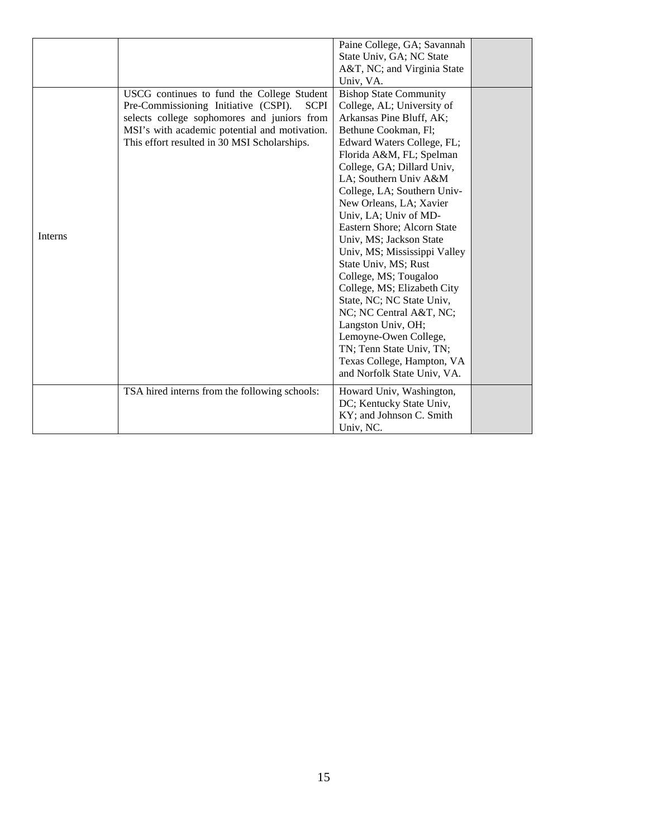|         |                                                     | Paine College, GA; Savannah   |  |
|---------|-----------------------------------------------------|-------------------------------|--|
|         |                                                     | State Univ, GA; NC State      |  |
|         |                                                     | A&T, NC; and Virginia State   |  |
|         |                                                     | Univ, VA.                     |  |
|         | USCG continues to fund the College Student          | <b>Bishop State Community</b> |  |
|         | Pre-Commissioning Initiative (CSPI).<br><b>SCPI</b> | College, AL; University of    |  |
|         | selects college sophomores and juniors from         | Arkansas Pine Bluff, AK;      |  |
|         | MSI's with academic potential and motivation.       | Bethune Cookman, Fl;          |  |
|         | This effort resulted in 30 MSI Scholarships.        | Edward Waters College, FL;    |  |
|         |                                                     | Florida A&M, FL; Spelman      |  |
|         |                                                     | College, GA; Dillard Univ,    |  |
|         |                                                     | LA; Southern Univ A&M         |  |
|         |                                                     | College, LA; Southern Univ-   |  |
|         |                                                     | New Orleans, LA; Xavier       |  |
|         |                                                     | Univ, LA; Univ of MD-         |  |
|         |                                                     | Eastern Shore; Alcorn State   |  |
| Interns |                                                     | Univ, MS; Jackson State       |  |
|         |                                                     | Univ, MS; Mississippi Valley  |  |
|         |                                                     | State Univ, MS; Rust          |  |
|         |                                                     | College, MS; Tougaloo         |  |
|         |                                                     | College, MS; Elizabeth City   |  |
|         |                                                     | State, NC; NC State Univ,     |  |
|         |                                                     | NC; NC Central A&T, NC;       |  |
|         |                                                     | Langston Univ, OH;            |  |
|         |                                                     | Lemoyne-Owen College,         |  |
|         |                                                     | TN; Tenn State Univ, TN;      |  |
|         |                                                     | Texas College, Hampton, VA    |  |
|         |                                                     | and Norfolk State Univ, VA.   |  |
|         | TSA hired interns from the following schools:       | Howard Univ, Washington,      |  |
|         |                                                     | DC; Kentucky State Univ,      |  |
|         |                                                     | KY; and Johnson C. Smith      |  |
|         |                                                     | Univ, NC.                     |  |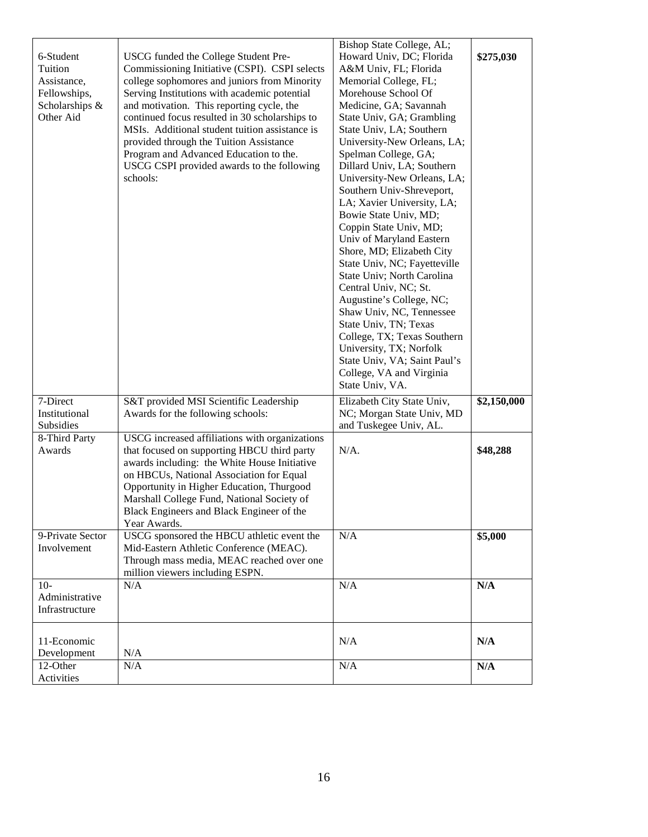| 6-Student        | USCG funded the College Student Pre-                                                 | Bishop State College, AL;<br>Howard Univ, DC; Florida | \$275,030   |
|------------------|--------------------------------------------------------------------------------------|-------------------------------------------------------|-------------|
| Tuition          | Commissioning Initiative (CSPI). CSPI selects                                        | A&M Univ, FL; Florida                                 |             |
| Assistance,      | college sophomores and juniors from Minority                                         | Memorial College, FL;                                 |             |
| Fellowships,     | Serving Institutions with academic potential                                         | Morehouse School Of                                   |             |
| Scholarships &   | and motivation. This reporting cycle, the                                            | Medicine, GA; Savannah                                |             |
| Other Aid        | continued focus resulted in 30 scholarships to                                       | State Univ, GA; Grambling                             |             |
|                  | MSIs. Additional student tuition assistance is                                       | State Univ, LA; Southern                              |             |
|                  | provided through the Tuition Assistance                                              | University-New Orleans, LA;                           |             |
|                  | Program and Advanced Education to the.<br>USCG CSPI provided awards to the following | Spelman College, GA;<br>Dillard Univ, LA; Southern    |             |
|                  | schools:                                                                             | University-New Orleans, LA;                           |             |
|                  |                                                                                      | Southern Univ-Shreveport,                             |             |
|                  |                                                                                      | LA; Xavier University, LA;                            |             |
|                  |                                                                                      | Bowie State Univ, MD;                                 |             |
|                  |                                                                                      | Coppin State Univ, MD;                                |             |
|                  |                                                                                      | Univ of Maryland Eastern                              |             |
|                  |                                                                                      | Shore, MD; Elizabeth City                             |             |
|                  |                                                                                      | State Univ, NC; Fayetteville                          |             |
|                  |                                                                                      | State Univ; North Carolina                            |             |
|                  |                                                                                      | Central Univ, NC; St.                                 |             |
|                  |                                                                                      | Augustine's College, NC;                              |             |
|                  |                                                                                      | Shaw Univ, NC, Tennessee                              |             |
|                  |                                                                                      | State Univ, TN; Texas                                 |             |
|                  |                                                                                      | College, TX; Texas Southern                           |             |
|                  |                                                                                      | University, TX; Norfolk                               |             |
|                  |                                                                                      | State Univ, VA; Saint Paul's                          |             |
|                  |                                                                                      | College, VA and Virginia                              |             |
|                  |                                                                                      | State Univ, VA.                                       |             |
| 7-Direct         | S&T provided MSI Scientific Leadership                                               | Elizabeth City State Univ,                            | \$2,150,000 |
| Institutional    | Awards for the following schools:                                                    | NC; Morgan State Univ, MD                             |             |
| Subsidies        |                                                                                      | and Tuskegee Univ, AL.                                |             |
| 8-Third Party    | USCG increased affiliations with organizations                                       |                                                       |             |
| Awards           | that focused on supporting HBCU third party                                          | $N/A$ .                                               | \$48,288    |
|                  | awards including: the White House Initiative                                         |                                                       |             |
|                  | on HBCUs, National Association for Equal                                             |                                                       |             |
|                  | Opportunity in Higher Education, Thurgood                                            |                                                       |             |
|                  | Marshall College Fund, National Society of                                           |                                                       |             |
|                  | Black Engineers and Black Engineer of the                                            |                                                       |             |
|                  | Year Awards.                                                                         |                                                       |             |
| 9-Private Sector | USCG sponsored the HBCU athletic event the                                           | N/A                                                   | \$5,000     |
| Involvement      | Mid-Eastern Athletic Conference (MEAC).                                              |                                                       |             |
|                  | Through mass media, MEAC reached over one                                            |                                                       |             |
| $10-$            | million viewers including ESPN.<br>N/A                                               | N/A                                                   |             |
| Administrative   |                                                                                      |                                                       | N/A         |
| Infrastructure   |                                                                                      |                                                       |             |
|                  |                                                                                      |                                                       |             |
|                  |                                                                                      |                                                       |             |
| 11-Economic      |                                                                                      | N/A                                                   | N/A         |
| Development      | N/A                                                                                  |                                                       |             |
| 12-Other         | N/A                                                                                  | N/A                                                   | N/A         |
| Activities       |                                                                                      |                                                       |             |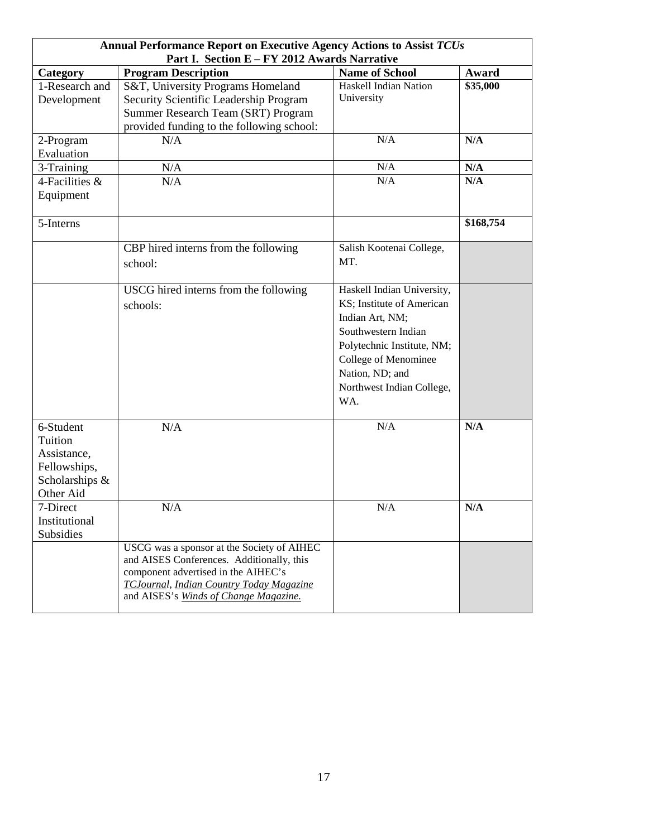|                                                                                    | Annual Performance Report on Executive Agency Actions to Assist TCUs<br>Part I. Section E - FY 2012 Awards Narrative                                                                                                |                                                                                                                                                                                                                |           |  |
|------------------------------------------------------------------------------------|---------------------------------------------------------------------------------------------------------------------------------------------------------------------------------------------------------------------|----------------------------------------------------------------------------------------------------------------------------------------------------------------------------------------------------------------|-----------|--|
| Category                                                                           | <b>Program Description</b>                                                                                                                                                                                          | <b>Name of School</b>                                                                                                                                                                                          | Award     |  |
| 1-Research and<br>Development                                                      | S&T, University Programs Homeland<br>Security Scientific Leadership Program<br>Summer Research Team (SRT) Program<br>provided funding to the following school:                                                      | <b>Haskell Indian Nation</b><br>University                                                                                                                                                                     | \$35,000  |  |
| 2-Program<br>Evaluation                                                            | N/A                                                                                                                                                                                                                 | N/A                                                                                                                                                                                                            | N/A       |  |
| 3-Training                                                                         | $\rm N/A$                                                                                                                                                                                                           | N/A                                                                                                                                                                                                            | N/A       |  |
| 4-Facilities &<br>Equipment                                                        | N/A                                                                                                                                                                                                                 | N/A                                                                                                                                                                                                            | N/A       |  |
| 5-Interns                                                                          |                                                                                                                                                                                                                     |                                                                                                                                                                                                                | \$168,754 |  |
|                                                                                    | CBP hired interns from the following<br>school:                                                                                                                                                                     | Salish Kootenai College,<br>MT.                                                                                                                                                                                |           |  |
|                                                                                    | USCG hired interns from the following<br>schools:                                                                                                                                                                   | Haskell Indian University,<br>KS; Institute of American<br>Indian Art, NM;<br>Southwestern Indian<br>Polytechnic Institute, NM;<br>College of Menominee<br>Nation, ND; and<br>Northwest Indian College,<br>WA. |           |  |
| 6-Student<br>Tuition<br>Assistance,<br>Fellowships,<br>Scholarships &<br>Other Aid | N/A                                                                                                                                                                                                                 | N/A                                                                                                                                                                                                            | N/A       |  |
| 7-Direct<br>Institutional<br><b>Subsidies</b>                                      | N/A                                                                                                                                                                                                                 | N/A                                                                                                                                                                                                            | N/A       |  |
|                                                                                    | USCG was a sponsor at the Society of AIHEC<br>and AISES Conferences. Additionally, this<br>component advertised in the AIHEC's<br>TCJournal, Indian Country Today Magazine<br>and AISES's Winds of Change Magazine. |                                                                                                                                                                                                                |           |  |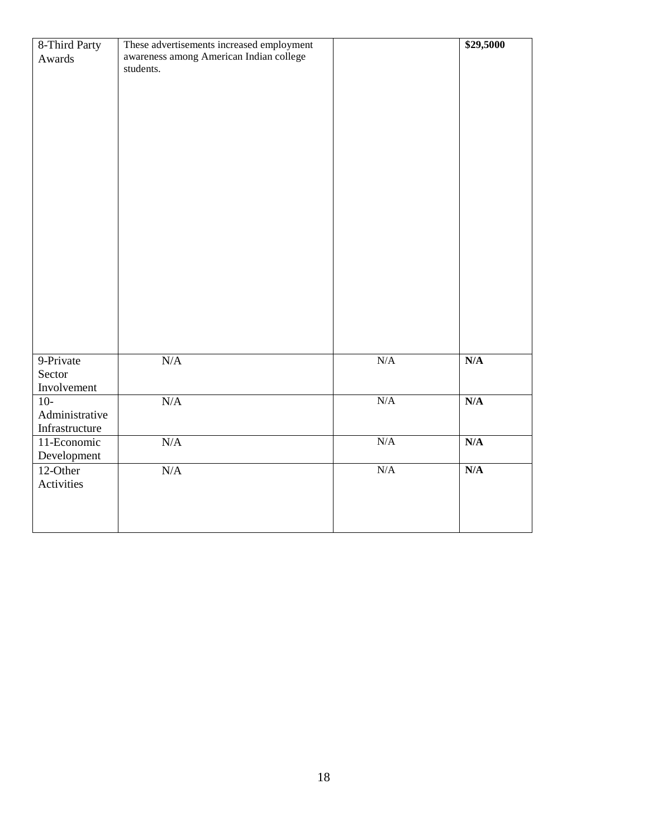| 8-Third Party<br>Awards                   | These advertisements increased employment<br>awareness among American Indian college<br>students. |     | \$29,5000 |
|-------------------------------------------|---------------------------------------------------------------------------------------------------|-----|-----------|
|                                           |                                                                                                   |     |           |
| 9-Private<br>Sector<br>Involvement        | $\rm N/A$                                                                                         | N/A | N/A       |
| $10-$<br>Administrative<br>Infrastructure | N/A                                                                                               | N/A | N/A       |
| 11-Economic<br>Development                | $\rm N/A$                                                                                         | N/A | N/A       |
| 12-Other<br>Activities                    | N/A                                                                                               | N/A | N/A       |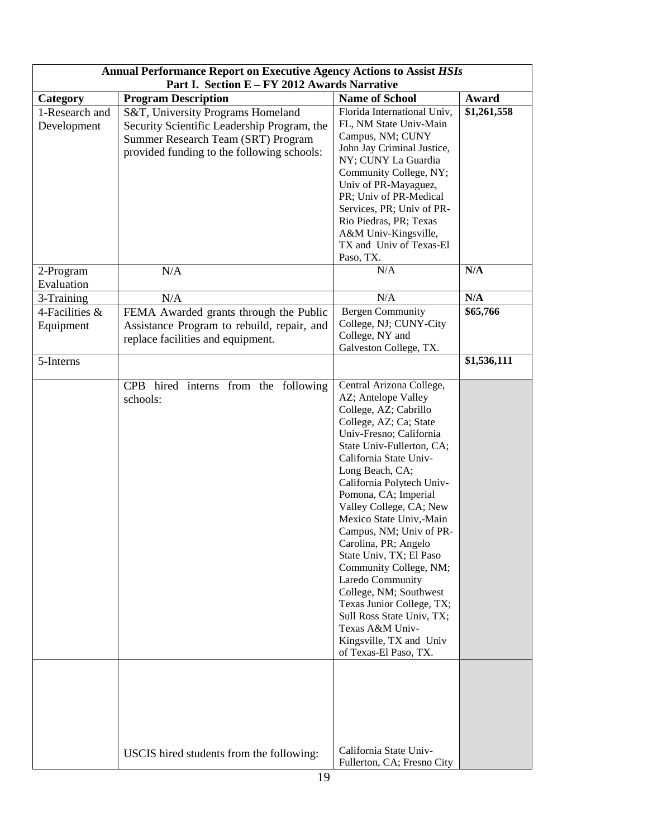| <b>Annual Performance Report on Executive Agency Actions to Assist HSIs</b><br>Part I. Section E - FY 2012 Awards Narrative |                                                                                                                                                                      |                                                                                                                                                                                                                                                                                                                                                                                                                                                                                                                                                                                                           |             |
|-----------------------------------------------------------------------------------------------------------------------------|----------------------------------------------------------------------------------------------------------------------------------------------------------------------|-----------------------------------------------------------------------------------------------------------------------------------------------------------------------------------------------------------------------------------------------------------------------------------------------------------------------------------------------------------------------------------------------------------------------------------------------------------------------------------------------------------------------------------------------------------------------------------------------------------|-------------|
| Category                                                                                                                    | <b>Program Description</b>                                                                                                                                           | <b>Name of School</b>                                                                                                                                                                                                                                                                                                                                                                                                                                                                                                                                                                                     | Award       |
| 1-Research and<br>Development                                                                                               | S&T, University Programs Homeland<br>Security Scientific Leadership Program, the<br>Summer Research Team (SRT) Program<br>provided funding to the following schools: | Florida International Univ,<br>FL, NM State Univ-Main<br>Campus, NM; CUNY<br>John Jay Criminal Justice,<br>NY; CUNY La Guardia<br>Community College, NY;<br>Univ of PR-Mayaguez,<br>PR; Univ of PR-Medical<br>Services, PR; Univ of PR-<br>Rio Piedras, PR; Texas<br>A&M Univ-Kingsville,<br>TX and Univ of Texas-El<br>Paso, TX.                                                                                                                                                                                                                                                                         | \$1,261,558 |
| 2-Program<br>Evaluation                                                                                                     | N/A                                                                                                                                                                  | N/A                                                                                                                                                                                                                                                                                                                                                                                                                                                                                                                                                                                                       | N/A         |
| 3-Training                                                                                                                  | N/A                                                                                                                                                                  | N/A                                                                                                                                                                                                                                                                                                                                                                                                                                                                                                                                                                                                       | N/A         |
| 4-Facilities &<br>Equipment                                                                                                 | FEMA Awarded grants through the Public<br>Assistance Program to rebuild, repair, and<br>replace facilities and equipment.                                            | <b>Bergen Community</b><br>College, NJ; CUNY-City<br>College, NY and<br>Galveston College, TX.                                                                                                                                                                                                                                                                                                                                                                                                                                                                                                            | \$65,766    |
| 5-Interns                                                                                                                   |                                                                                                                                                                      |                                                                                                                                                                                                                                                                                                                                                                                                                                                                                                                                                                                                           | \$1,536,111 |
|                                                                                                                             | CPB hired interns from the following<br>schools:                                                                                                                     | Central Arizona College,<br>AZ; Antelope Valley<br>College, AZ; Cabrillo<br>College, AZ; Ca; State<br>Univ-Fresno; California<br>State Univ-Fullerton, CA;<br>California State Univ-<br>Long Beach, CA;<br>California Polytech Univ-<br>Pomona, CA; Imperial<br>Valley College, CA; New<br>Mexico State Univ,-Main<br>Campus, NM; Univ of PR-<br>Carolina, PR; Angelo<br>State Univ, TX; El Paso<br>Community College, NM;<br>Laredo Community<br>College, NM; Southwest<br>Texas Junior College, TX;<br>Sull Ross State Univ, TX;<br>Texas A&M Univ-<br>Kingsville, TX and Univ<br>of Texas-El Paso, TX. |             |
|                                                                                                                             | USCIS hired students from the following:                                                                                                                             | California State Univ-<br>Fullerton, CA; Fresno City                                                                                                                                                                                                                                                                                                                                                                                                                                                                                                                                                      |             |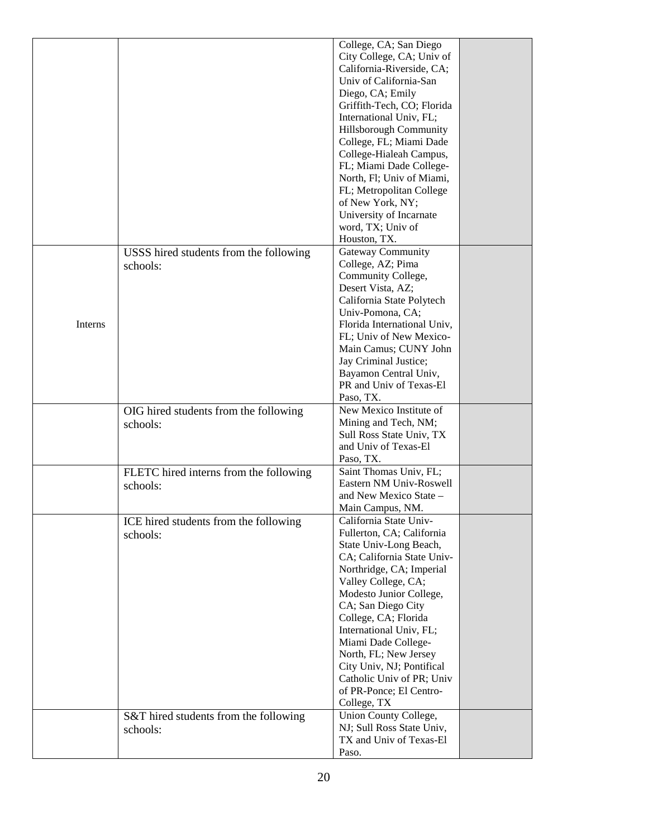|         |                                        | College, CA; San Diego           |  |
|---------|----------------------------------------|----------------------------------|--|
|         |                                        | City College, CA; Univ of        |  |
|         |                                        | California-Riverside, CA;        |  |
|         |                                        | Univ of California-San           |  |
|         |                                        | Diego, CA; Emily                 |  |
|         |                                        |                                  |  |
|         |                                        | Griffith-Tech, CO; Florida       |  |
|         |                                        | International Univ, FL;          |  |
|         |                                        | Hillsborough Community           |  |
|         |                                        | College, FL; Miami Dade          |  |
|         |                                        | College-Hialeah Campus,          |  |
|         |                                        | FL; Miami Dade College-          |  |
|         |                                        | North, Fl; Univ of Miami,        |  |
|         |                                        | FL; Metropolitan College         |  |
|         |                                        | of New York, NY;                 |  |
|         |                                        | University of Incarnate          |  |
|         |                                        | word, TX; Univ of                |  |
|         |                                        | Houston, TX.                     |  |
|         |                                        | <b>Gateway Community</b>         |  |
|         | USSS hired students from the following |                                  |  |
|         | schools:                               | College, AZ; Pima                |  |
|         |                                        | Community College,               |  |
|         |                                        | Desert Vista, AZ;                |  |
|         |                                        | California State Polytech        |  |
|         |                                        | Univ-Pomona, CA;                 |  |
| Interns |                                        | Florida International Univ,      |  |
|         |                                        | FL; Univ of New Mexico-          |  |
|         |                                        | Main Camus; CUNY John            |  |
|         |                                        | Jay Criminal Justice;            |  |
|         |                                        | Bayamon Central Univ,            |  |
|         |                                        | PR and Univ of Texas-El          |  |
|         |                                        | Paso, TX.                        |  |
|         | OIG hired students from the following  | New Mexico Institute of          |  |
|         | schools:                               | Mining and Tech, NM;             |  |
|         |                                        | Sull Ross State Univ, TX         |  |
|         |                                        | and Univ of Texas-El             |  |
|         |                                        | Paso, TX.                        |  |
|         | FLETC hired interns from the following | Saint Thomas Univ, FL;           |  |
|         | schools:                               | Eastern NM Univ-Roswell          |  |
|         |                                        | and New Mexico State -           |  |
|         |                                        | Main Campus, NM.                 |  |
|         |                                        |                                  |  |
|         | ICE hired students from the following  | California State Univ-           |  |
|         | schools:                               | Fullerton, CA; California        |  |
|         |                                        |                                  |  |
|         |                                        | State Univ-Long Beach,           |  |
|         |                                        | CA; California State Univ-       |  |
|         |                                        | Northridge, CA; Imperial         |  |
|         |                                        | Valley College, CA;              |  |
|         |                                        | Modesto Junior College,          |  |
|         |                                        | CA; San Diego City               |  |
|         |                                        | College, CA; Florida             |  |
|         |                                        | International Univ, FL;          |  |
|         |                                        | Miami Dade College-              |  |
|         |                                        | North, FL; New Jersey            |  |
|         |                                        | City Univ, NJ; Pontifical        |  |
|         |                                        | Catholic Univ of PR; Univ        |  |
|         |                                        | of PR-Ponce; El Centro-          |  |
|         |                                        |                                  |  |
|         |                                        | College, TX                      |  |
|         | S&T hired students from the following  | Union County College,            |  |
|         | schools:                               | NJ; Sull Ross State Univ,        |  |
|         |                                        | TX and Univ of Texas-El<br>Paso. |  |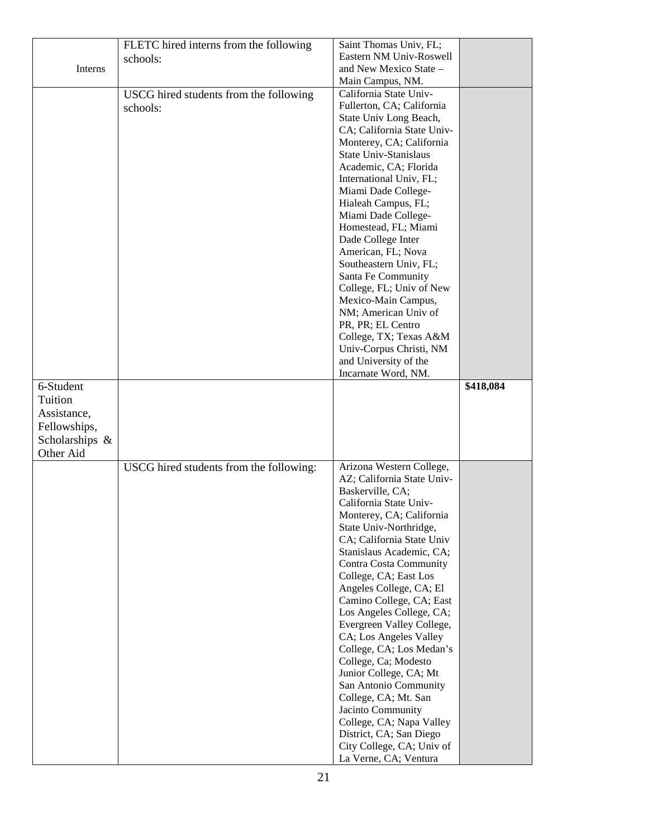|                | FLETC hired interns from the following  | Saint Thomas Univ, FL;                                |           |
|----------------|-----------------------------------------|-------------------------------------------------------|-----------|
|                | schools:                                | Eastern NM Univ-Roswell                               |           |
| Interns        |                                         | and New Mexico State –                                |           |
|                |                                         | Main Campus, NM.                                      |           |
|                | USCG hired students from the following  | California State Univ-                                |           |
|                | schools:                                | Fullerton, CA; California                             |           |
|                |                                         | State Univ Long Beach,                                |           |
|                |                                         | CA; California State Univ-                            |           |
|                |                                         | Monterey, CA; California                              |           |
|                |                                         | State Univ-Stanislaus                                 |           |
|                |                                         | Academic, CA; Florida                                 |           |
|                |                                         | International Univ, FL;                               |           |
|                |                                         | Miami Dade College-                                   |           |
|                |                                         | Hialeah Campus, FL;                                   |           |
|                |                                         | Miami Dade College-                                   |           |
|                |                                         | Homestead, FL; Miami                                  |           |
|                |                                         | Dade College Inter                                    |           |
|                |                                         | American, FL; Nova                                    |           |
|                |                                         | Southeastern Univ, FL;                                |           |
|                |                                         | Santa Fe Community                                    |           |
|                |                                         | College, FL; Univ of New                              |           |
|                |                                         | Mexico-Main Campus,                                   |           |
|                |                                         | NM; American Univ of                                  |           |
|                |                                         | PR, PR; EL Centro                                     |           |
|                |                                         | College, TX; Texas A&M                                |           |
|                |                                         | Univ-Corpus Christi, NM                               |           |
|                |                                         | and University of the                                 |           |
|                |                                         | Incarnate Word, NM.                                   |           |
| 6-Student      |                                         |                                                       | \$418,084 |
| Tuition        |                                         |                                                       |           |
| Assistance,    |                                         |                                                       |           |
|                |                                         |                                                       |           |
|                |                                         |                                                       |           |
| Fellowships,   |                                         |                                                       |           |
| Scholarships & |                                         |                                                       |           |
| Other Aid      |                                         |                                                       |           |
|                | USCG hired students from the following: | Arizona Western College,                              |           |
|                |                                         | AZ; California State Univ-                            |           |
|                |                                         | Baskerville, CA;                                      |           |
|                |                                         | California State Univ-                                |           |
|                |                                         | Monterey, CA; California                              |           |
|                |                                         | State Univ-Northridge,                                |           |
|                |                                         | CA; California State Univ                             |           |
|                |                                         | Stanislaus Academic, CA;                              |           |
|                |                                         | <b>Contra Costa Community</b>                         |           |
|                |                                         | College, CA; East Los                                 |           |
|                |                                         | Angeles College, CA; El                               |           |
|                |                                         | Camino College, CA; East                              |           |
|                |                                         | Los Angeles College, CA;<br>Evergreen Valley College, |           |
|                |                                         | CA; Los Angeles Valley                                |           |
|                |                                         | College, CA; Los Medan's                              |           |
|                |                                         | College, Ca; Modesto                                  |           |
|                |                                         | Junior College, CA; Mt                                |           |
|                |                                         | San Antonio Community                                 |           |
|                |                                         | College, CA; Mt. San                                  |           |
|                |                                         | Jacinto Community                                     |           |
|                |                                         | College, CA; Napa Valley                              |           |
|                |                                         | District, CA; San Diego                               |           |
|                |                                         | City College, CA; Univ of<br>La Verne, CA; Ventura    |           |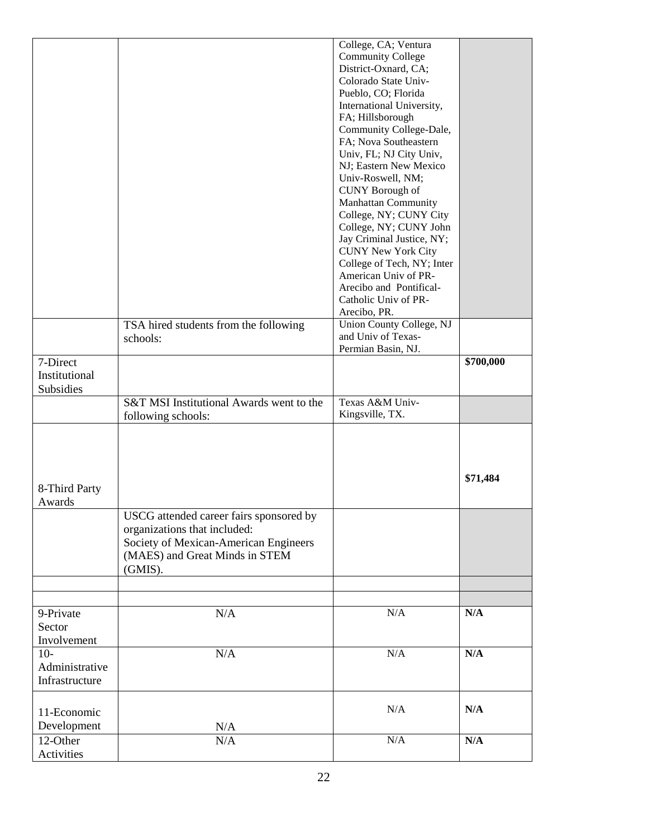|                |                                          | College, CA; Ventura                           |           |
|----------------|------------------------------------------|------------------------------------------------|-----------|
|                |                                          | <b>Community College</b>                       |           |
|                |                                          | District-Oxnard, CA;                           |           |
|                |                                          | Colorado State Univ-                           |           |
|                |                                          | Pueblo, CO; Florida                            |           |
|                |                                          | International University,                      |           |
|                |                                          | FA; Hillsborough                               |           |
|                |                                          | Community College-Dale,                        |           |
|                |                                          | FA; Nova Southeastern                          |           |
|                |                                          | Univ, FL; NJ City Univ,                        |           |
|                |                                          | NJ; Eastern New Mexico                         |           |
|                |                                          | Univ-Roswell, NM;                              |           |
|                |                                          | <b>CUNY</b> Borough of                         |           |
|                |                                          | <b>Manhattan Community</b>                     |           |
|                |                                          | College, NY; CUNY City                         |           |
|                |                                          | College, NY; CUNY John                         |           |
|                |                                          | Jay Criminal Justice, NY;                      |           |
|                |                                          | <b>CUNY New York City</b>                      |           |
|                |                                          | College of Tech, NY; Inter                     |           |
|                |                                          | American Univ of PR-                           |           |
|                |                                          | Arecibo and Pontifical-                        |           |
|                |                                          | Catholic Univ of PR-                           |           |
|                |                                          | Arecibo, PR.                                   |           |
|                | TSA hired students from the following    | Union County College, NJ<br>and Univ of Texas- |           |
|                | schools:                                 | Permian Basin, NJ.                             |           |
| 7-Direct       |                                          |                                                | \$700,000 |
| Institutional  |                                          |                                                |           |
| Subsidies      |                                          |                                                |           |
|                |                                          | Texas A&M Univ-                                |           |
|                | S&T MSI Institutional Awards went to the | Kingsville, TX.                                |           |
|                | following schools:                       |                                                |           |
|                |                                          |                                                |           |
|                |                                          |                                                |           |
|                |                                          |                                                |           |
|                |                                          |                                                | \$71,484  |
| 8-Third Party  |                                          |                                                |           |
| Awards         |                                          |                                                |           |
|                | USCG attended career fairs sponsored by  |                                                |           |
|                | organizations that included:             |                                                |           |
|                | Society of Mexican-American Engineers    |                                                |           |
|                | (MAES) and Great Minds in STEM           |                                                |           |
|                | (GMIS).                                  |                                                |           |
|                |                                          |                                                |           |
|                |                                          |                                                |           |
|                |                                          |                                                |           |
| 9-Private      | N/A                                      | $\rm N/A$                                      | N/A       |
| Sector         |                                          |                                                |           |
| Involvement    |                                          |                                                |           |
| $10-$          | N/A                                      | N/A                                            | N/A       |
| Administrative |                                          |                                                |           |
| Infrastructure |                                          |                                                |           |
|                |                                          |                                                |           |
|                |                                          | N/A                                            | N/A       |
| 11-Economic    |                                          |                                                |           |
| Development    | N/A                                      |                                                |           |
| 12-Other       |                                          |                                                |           |
| Activities     | N/A                                      | N/A                                            | N/A       |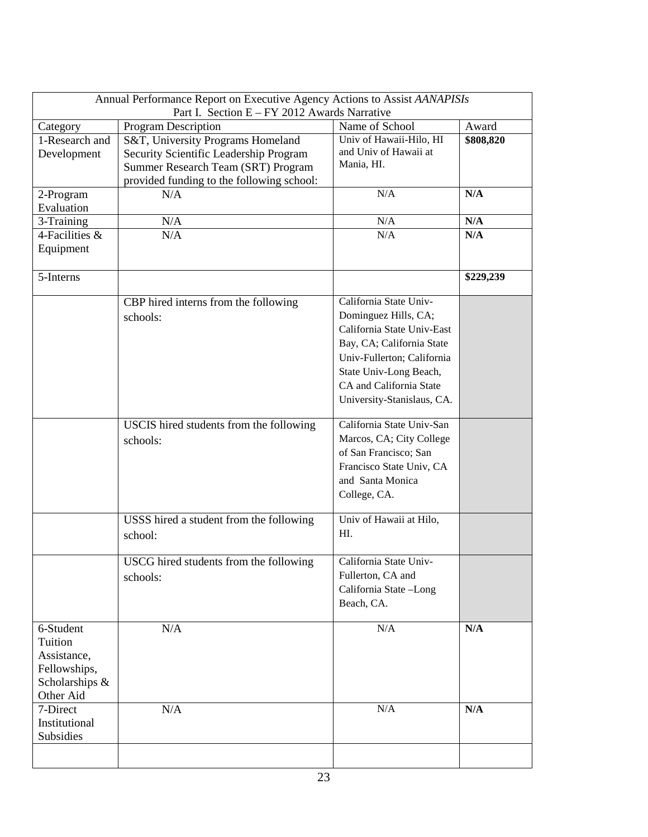| Annual Performance Report on Executive Agency Actions to Assist AANAPISIs<br>Part I. Section E - FY 2012 Awards Narrative |                                           |                            |           |  |
|---------------------------------------------------------------------------------------------------------------------------|-------------------------------------------|----------------------------|-----------|--|
| Category                                                                                                                  | <b>Program Description</b>                | Name of School             | Award     |  |
| 1-Research and                                                                                                            | S&T, University Programs Homeland         | Univ of Hawaii-Hilo, HI    | \$808,820 |  |
| Development                                                                                                               | Security Scientific Leadership Program    | and Univ of Hawaii at      |           |  |
|                                                                                                                           | Summer Research Team (SRT) Program        | Mania, HI.                 |           |  |
|                                                                                                                           |                                           |                            |           |  |
|                                                                                                                           | provided funding to the following school: | N/A                        |           |  |
| 2-Program                                                                                                                 | N/A                                       |                            | N/A       |  |
| Evaluation                                                                                                                |                                           |                            |           |  |
| 3-Training                                                                                                                | N/A                                       | N/A                        | N/A       |  |
| 4-Facilities &                                                                                                            | N/A                                       | N/A                        | N/A       |  |
| Equipment                                                                                                                 |                                           |                            |           |  |
|                                                                                                                           |                                           |                            |           |  |
| 5-Interns                                                                                                                 |                                           |                            | \$229,239 |  |
|                                                                                                                           | CBP hired interns from the following      | California State Univ-     |           |  |
|                                                                                                                           | schools:                                  | Dominguez Hills, CA;       |           |  |
|                                                                                                                           |                                           | California State Univ-East |           |  |
|                                                                                                                           |                                           | Bay, CA; California State  |           |  |
|                                                                                                                           |                                           | Univ-Fullerton; California |           |  |
|                                                                                                                           |                                           |                            |           |  |
|                                                                                                                           |                                           | State Univ-Long Beach,     |           |  |
|                                                                                                                           |                                           | CA and California State    |           |  |
|                                                                                                                           |                                           | University-Stanislaus, CA. |           |  |
|                                                                                                                           | USCIS hired students from the following   | California State Univ-San  |           |  |
|                                                                                                                           | schools:                                  | Marcos, CA; City College   |           |  |
|                                                                                                                           |                                           | of San Francisco; San      |           |  |
|                                                                                                                           |                                           | Francisco State Univ, CA   |           |  |
|                                                                                                                           |                                           | and Santa Monica           |           |  |
|                                                                                                                           |                                           | College, CA.               |           |  |
|                                                                                                                           |                                           |                            |           |  |
|                                                                                                                           | USSS hired a student from the following   | Univ of Hawaii at Hilo,    |           |  |
|                                                                                                                           | school:                                   | HI.                        |           |  |
|                                                                                                                           |                                           |                            |           |  |
|                                                                                                                           | USCG hired students from the following    | California State Univ-     |           |  |
|                                                                                                                           | schools:                                  | Fullerton, CA and          |           |  |
|                                                                                                                           |                                           | California State -Long     |           |  |
|                                                                                                                           |                                           | Beach, CA.                 |           |  |
|                                                                                                                           |                                           |                            |           |  |
| 6-Student                                                                                                                 | N/A                                       | $\rm N/A$                  | N/A       |  |
| Tuition                                                                                                                   |                                           |                            |           |  |
| Assistance,                                                                                                               |                                           |                            |           |  |
| Fellowships,                                                                                                              |                                           |                            |           |  |
| Scholarships &                                                                                                            |                                           |                            |           |  |
| Other Aid                                                                                                                 |                                           |                            |           |  |
| 7-Direct                                                                                                                  | N/A                                       | N/A                        | N/A       |  |
| Institutional                                                                                                             |                                           |                            |           |  |
| Subsidies                                                                                                                 |                                           |                            |           |  |
|                                                                                                                           |                                           |                            |           |  |
|                                                                                                                           |                                           |                            |           |  |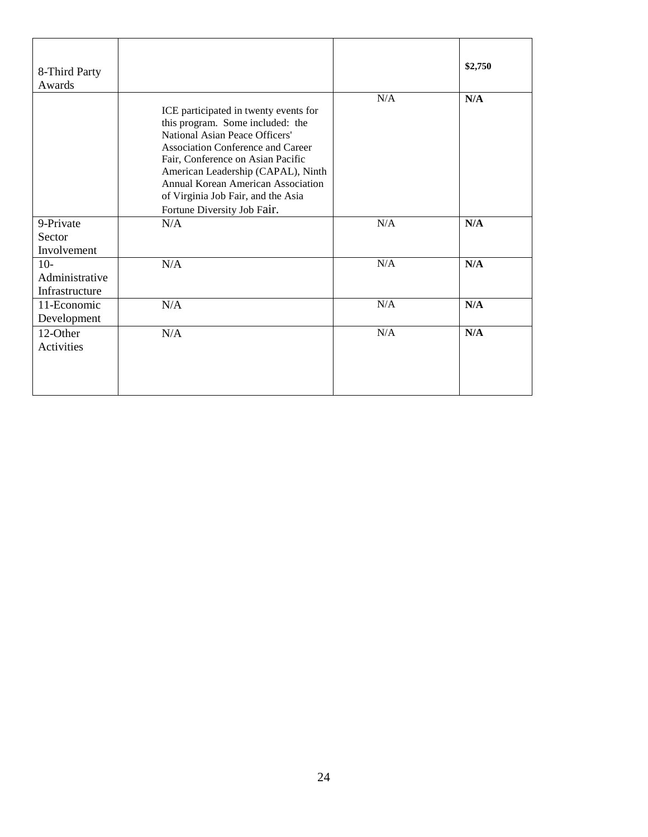| 8-Third Party<br>Awards                   |                                                                                                                                                                                                                                                                                                                                               |     | \$2,750 |
|-------------------------------------------|-----------------------------------------------------------------------------------------------------------------------------------------------------------------------------------------------------------------------------------------------------------------------------------------------------------------------------------------------|-----|---------|
|                                           | ICE participated in twenty events for<br>this program. Some included: the<br>National Asian Peace Officers'<br><b>Association Conference and Career</b><br>Fair, Conference on Asian Pacific<br>American Leadership (CAPAL), Ninth<br>Annual Korean American Association<br>of Virginia Job Fair, and the Asia<br>Fortune Diversity Job Fair. | N/A | N/A     |
| 9-Private<br>Sector<br>Involvement        | N/A                                                                                                                                                                                                                                                                                                                                           | N/A | N/A     |
| $10-$<br>Administrative<br>Infrastructure | N/A                                                                                                                                                                                                                                                                                                                                           | N/A | N/A     |
| 11-Economic<br>Development                | N/A                                                                                                                                                                                                                                                                                                                                           | N/A | N/A     |
| 12-Other<br>Activities                    | N/A                                                                                                                                                                                                                                                                                                                                           | N/A | N/A     |